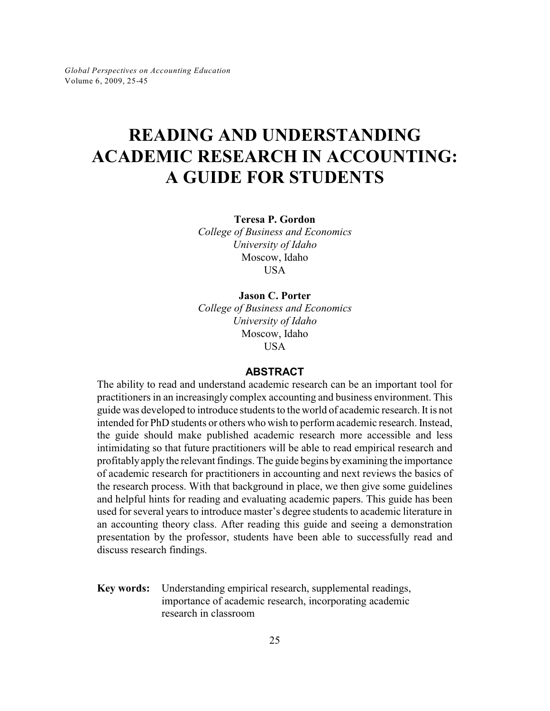# **READING AND UNDERSTANDING ACADEMIC RESEARCH IN ACCOUNTING: A GUIDE FOR STUDENTS**

**Teresa P. Gordon**

*College of Business and Economics University of Idaho* Moscow, Idaho **USA** 

# **Jason C. Porter**

*College of Business and Economics University of Idaho* Moscow, Idaho USA

# **ABSTRACT**

The ability to read and understand academic research can be an important tool for practitioners in an increasingly complex accounting and business environment. This guide was developed to introduce students to the world of academic research. It is not intended for PhD students or others who wish to perform academic research. Instead, the guide should make published academic research more accessible and less intimidating so that future practitioners will be able to read empirical research and profitablyapplythe relevant findings. The guide begins byexamining the importance of academic research for practitioners in accounting and next reviews the basics of the research process. With that background in place, we then give some guidelines and helpful hints for reading and evaluating academic papers. This guide has been used for several years to introduce master's degree students to academic literature in an accounting theory class. After reading this guide and seeing a demonstration presentation by the professor, students have been able to successfully read and discuss research findings.

**Key words:** Understanding empirical research, supplemental readings, importance of academic research, incorporating academic research in classroom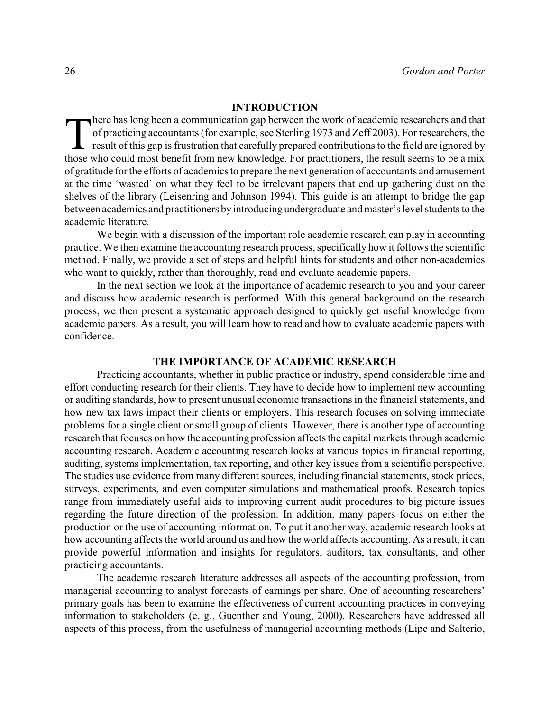## **INTRODUCTION**

There has long been a communication gap between the work of academic researchers and that of practicing accountants (for example, see Sterling 1973 and Zeff 2003). For researchers, the result of this gap is frustration tha here has long been a communication gap between the work of academic researchers and that of practicing accountants (for example, see Sterling 1973 and Zeff 2003). For researchers, the result of this gap is frustration that carefully prepared contributions to the field are ignored by of gratitude for the efforts of academics to prepare the next generation of accountants and amusement at the time 'wasted' on what they feel to be irrelevant papers that end up gathering dust on the shelves of the library (Leisenring and Johnson 1994). This guide is an attempt to bridge the gap between academics and practitioners byintroducing undergraduate and master's level students to the academic literature.

We begin with a discussion of the important role academic research can play in accounting practice. We then examine the accounting research process, specifically how it follows the scientific method. Finally, we provide a set of steps and helpful hints for students and other non-academics who want to quickly, rather than thoroughly, read and evaluate academic papers.

In the next section we look at the importance of academic research to you and your career and discuss how academic research is performed. With this general background on the research process, we then present a systematic approach designed to quickly get useful knowledge from academic papers. As a result, you will learn how to read and how to evaluate academic papers with confidence.

# **THE IMPORTANCE OF ACADEMIC RESEARCH**

Practicing accountants, whether in public practice or industry, spend considerable time and effort conducting research for their clients. They have to decide how to implement new accounting or auditing standards, how to present unusual economic transactions in the financial statements, and how new tax laws impact their clients or employers. This research focuses on solving immediate problems for a single client or small group of clients. However, there is another type of accounting research that focuses on how the accounting profession affects the capital markets through academic accounting research. Academic accounting research looks at various topics in financial reporting, auditing, systems implementation, tax reporting, and other key issues from a scientific perspective. The studies use evidence from many different sources, including financial statements, stock prices, surveys, experiments, and even computer simulations and mathematical proofs. Research topics range from immediately useful aids to improving current audit procedures to big picture issues regarding the future direction of the profession. In addition, many papers focus on either the production or the use of accounting information. To put it another way, academic research looks at how accounting affects the world around us and how the world affects accounting. As a result, it can provide powerful information and insights for regulators, auditors, tax consultants, and other practicing accountants.

The academic research literature addresses all aspects of the accounting profession, from managerial accounting to analyst forecasts of earnings per share. One of accounting researchers' primary goals has been to examine the effectiveness of current accounting practices in conveying information to stakeholders (e. g., Guenther and Young, 2000). Researchers have addressed all aspects of this process, from the usefulness of managerial accounting methods (Lipe and Salterio,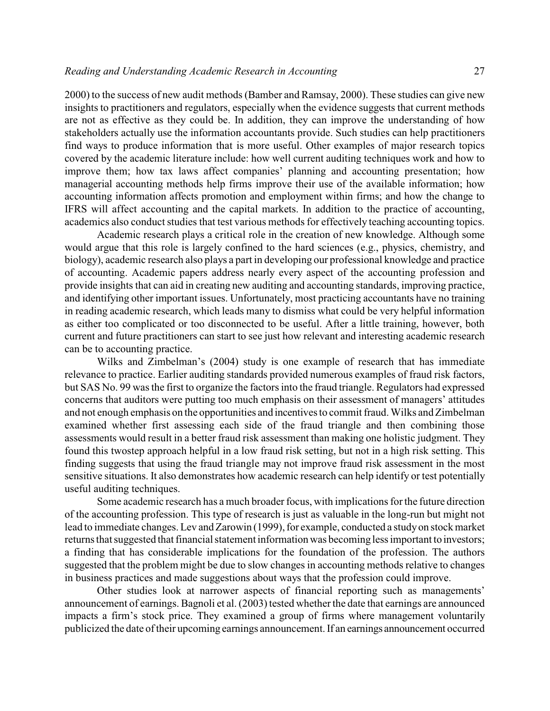2000) to the success of new audit methods (Bamber and Ramsay, 2000). These studies can give new insights to practitioners and regulators, especially when the evidence suggests that current methods are not as effective as they could be. In addition, they can improve the understanding of how stakeholders actually use the information accountants provide. Such studies can help practitioners find ways to produce information that is more useful. Other examples of major research topics covered by the academic literature include: how well current auditing techniques work and how to improve them; how tax laws affect companies' planning and accounting presentation; how managerial accounting methods help firms improve their use of the available information; how accounting information affects promotion and employment within firms; and how the change to IFRS will affect accounting and the capital markets. In addition to the practice of accounting, academics also conduct studies that test various methods for effectively teaching accounting topics.

Academic research plays a critical role in the creation of new knowledge. Although some would argue that this role is largely confined to the hard sciences (e.g., physics, chemistry, and biology), academic research also plays a part in developing our professional knowledge and practice of accounting. Academic papers address nearly every aspect of the accounting profession and provide insights that can aid in creating new auditing and accounting standards, improving practice, and identifying other important issues. Unfortunately, most practicing accountants have no training in reading academic research, which leads many to dismiss what could be very helpful information as either too complicated or too disconnected to be useful. After a little training, however, both current and future practitioners can start to see just how relevant and interesting academic research can be to accounting practice.

Wilks and Zimbelman's (2004) study is one example of research that has immediate relevance to practice. Earlier auditing standards provided numerous examples of fraud risk factors, but SAS No. 99 was the first to organize the factors into the fraud triangle. Regulators had expressed concerns that auditors were putting too much emphasis on their assessment of managers' attitudes and not enough emphasis on the opportunities and incentives to commit fraud. Wilks and Zimbelman examined whether first assessing each side of the fraud triangle and then combining those assessments would result in a better fraud risk assessment than making one holistic judgment. They found this twostep approach helpful in a low fraud risk setting, but not in a high risk setting. This finding suggests that using the fraud triangle may not improve fraud risk assessment in the most sensitive situations. It also demonstrates how academic research can help identify or test potentially useful auditing techniques.

Some academic research has a much broader focus, with implications for the future direction of the accounting profession. This type of research is just as valuable in the long-run but might not lead to immediate changes. Lev and Zarowin (1999), for example, conducted a studyon stock market returns that suggested that financial statement information was becoming less important to investors; a finding that has considerable implications for the foundation of the profession. The authors suggested that the problem might be due to slow changes in accounting methods relative to changes in business practices and made suggestions about ways that the profession could improve.

Other studies look at narrower aspects of financial reporting such as managements' announcement of earnings. Bagnoli et al. (2003) tested whether the date that earnings are announced impacts a firm's stock price. They examined a group of firms where management voluntarily publicized the date of their upcoming earnings announcement. If an earnings announcement occurred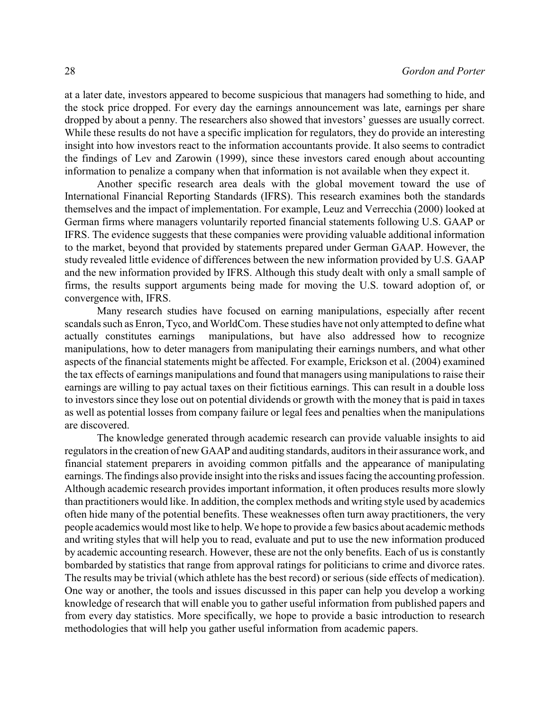at a later date, investors appeared to become suspicious that managers had something to hide, and the stock price dropped. For every day the earnings announcement was late, earnings per share dropped by about a penny. The researchers also showed that investors' guesses are usually correct. While these results do not have a specific implication for regulators, they do provide an interesting insight into how investors react to the information accountants provide. It also seems to contradict the findings of Lev and Zarowin (1999), since these investors cared enough about accounting information to penalize a company when that information is not available when they expect it.

Another specific research area deals with the global movement toward the use of International Financial Reporting Standards (IFRS). This research examines both the standards themselves and the impact of implementation. For example, Leuz and Verrecchia (2000) looked at German firms where managers voluntarily reported financial statements following U.S. GAAP or IFRS. The evidence suggests that these companies were providing valuable additional information to the market, beyond that provided by statements prepared under German GAAP. However, the study revealed little evidence of differences between the new information provided by U.S. GAAP and the new information provided by IFRS. Although this study dealt with only a small sample of firms, the results support arguments being made for moving the U.S. toward adoption of, or convergence with, IFRS.

Many research studies have focused on earning manipulations, especially after recent scandals such as Enron, Tyco, and WorldCom. These studies have not only attempted to define what actually constitutes earnings manipulations, but have also addressed how to recognize manipulations, how to deter managers from manipulating their earnings numbers, and what other aspects of the financial statements might be affected. For example, Erickson et al. (2004) examined the tax effects of earnings manipulations and found that managers using manipulations to raise their earnings are willing to pay actual taxes on their fictitious earnings. This can result in a double loss to investors since they lose out on potential dividends or growth with the money that is paid in taxes as well as potential losses from company failure or legal fees and penalties when the manipulations are discovered.

The knowledge generated through academic research can provide valuable insights to aid regulators in the creation of new GAAP and auditing standards, auditors in their assurance work, and financial statement preparers in avoiding common pitfalls and the appearance of manipulating earnings. The findings also provide insight into the risks and issues facing the accounting profession. Although academic research provides important information, it often produces results more slowly than practitioners would like. In addition, the complex methods and writing style used by academics often hide many of the potential benefits. These weaknesses often turn away practitioners, the very people academics would most like to help. We hope to provide a few basics about academic methods and writing styles that will help you to read, evaluate and put to use the new information produced by academic accounting research. However, these are not the only benefits. Each of us is constantly bombarded by statistics that range from approval ratings for politicians to crime and divorce rates. The results may be trivial (which athlete has the best record) or serious (side effects of medication). One way or another, the tools and issues discussed in this paper can help you develop a working knowledge of research that will enable you to gather useful information from published papers and from every day statistics. More specifically, we hope to provide a basic introduction to research methodologies that will help you gather useful information from academic papers.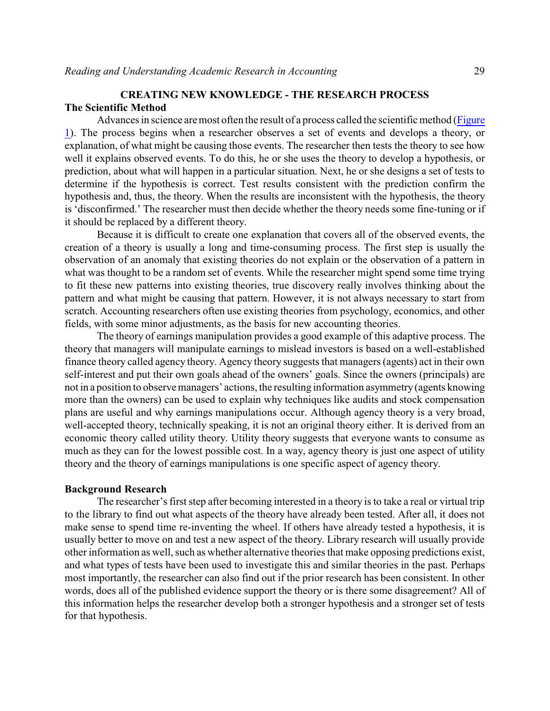# **CREATING NEW KNOWLEDGE - THE RESEARCH PROCESS The Scientific Method**

Advances in science are most often the result of a process called the scientific method [\(Figure](http://web.bryant.edu/~gpae/Vol6/Academic_Research/Figure1.pdf) [1](http://web.bryant.edu/~gpae/Vol6/Academic_Research/Figure1.pdf)). The process begins when a researcher observes a set of events and develops a theory, or explanation, of what might be causing those events. The researcher then tests the theory to see how well it explains observed events. To do this, he or she uses the theory to develop a hypothesis, or prediction, about what will happen in a particular situation. Next, he or she designs a set of tests to determine if the hypothesis is correct. Test results consistent with the prediction confirm the hypothesis and, thus, the theory. When the results are inconsistent with the hypothesis, the theory is 'disconfirmed.' The researcher must then decide whether the theory needs some fine-tuning or if it should be replaced by a different theory.

Because it is difficult to create one explanation that covers all of the observed events, the creation of a theory is usually a long and time-consuming process. The first step is usually the observation of an anomaly that existing theories do not explain or the observation of a pattern in what was thought to be a random set of events. While the researcher might spend some time trying to fit these new patterns into existing theories, true discovery really involves thinking about the pattern and what might be causing that pattern. However, it is not always necessary to start from scratch. Accounting researchers often use existing theories from psychology, economics, and other fields, with some minor adjustments, as the basis for new accounting theories.

The theory of earnings manipulation provides a good example of this adaptive process. The theory that managers will manipulate earnings to mislead investors is based on a well-established finance theory called agency theory. Agency theory suggests that managers (agents) act in their own self-interest and put their own goals ahead of the owners' goals. Since the owners (principals) are not in a position to observemanagers' actions, the resulting information asymmetry (agents knowing more than the owners) can be used to explain why techniques like audits and stock compensation plans are useful and why earnings manipulations occur. Although agency theory is a very broad, well-accepted theory, technically speaking, it is not an original theory either. It is derived from an economic theory called utility theory. Utility theory suggests that everyone wants to consume as much as they can for the lowest possible cost. In a way, agency theory is just one aspect of utility theory and the theory of earnings manipulations is one specific aspect of agency theory.

# **Background Research**

The researcher's first step after becoming interested in a theory is to take a real or virtual trip to the library to find out what aspects of the theory have already been tested. After all, it does not make sense to spend time re-inventing the wheel. If others have already tested a hypothesis, it is usually better to move on and test a new aspect of the theory. Library research will usually provide other information as well, such as whether alternative theories that make opposing predictions exist, and what types of tests have been used to investigate this and similar theories in the past. Perhaps most importantly, the researcher can also find out if the prior research has been consistent. In other words, does all of the published evidence support the theory or is there some disagreement? All of this information helps the researcher develop both a stronger hypothesis and a stronger set of tests for that hypothesis.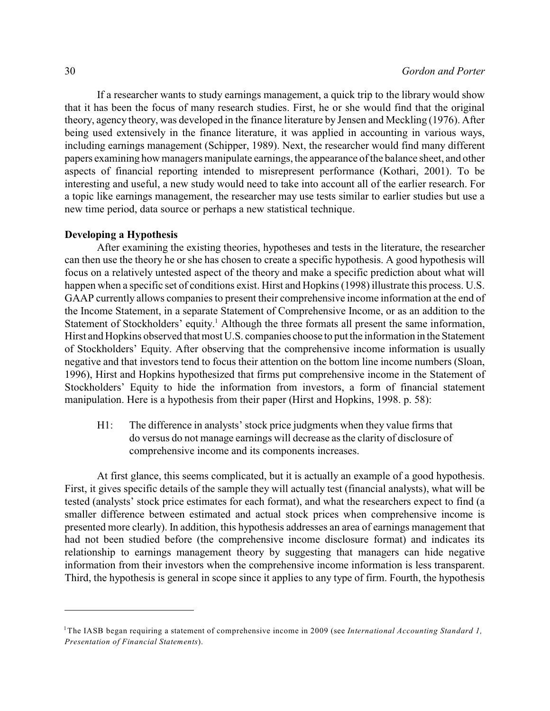If a researcher wants to study earnings management, a quick trip to the library would show that it has been the focus of many research studies. First, he or she would find that the original theory, agency theory, was developed in the finance literature by Jensen and Meckling (1976). After being used extensively in the finance literature, it was applied in accounting in various ways, including earnings management (Schipper, 1989). Next, the researcher would find many different papers examining how managers manipulate earnings, the appearance of the balance sheet, and other aspects of financial reporting intended to misrepresent performance (Kothari, 2001). To be interesting and useful, a new study would need to take into account all of the earlier research. For a topic like earnings management, the researcher may use tests similar to earlier studies but use a new time period, data source or perhaps a new statistical technique.

## **Developing a Hypothesis**

After examining the existing theories, hypotheses and tests in the literature, the researcher can then use the theory he or she has chosen to create a specific hypothesis. A good hypothesis will focus on a relatively untested aspect of the theory and make a specific prediction about what will happen when a specific set of conditions exist. Hirst and Hopkins (1998) illustrate this process. U.S. GAAP currently allows companies to present their comprehensive income information at the end of the Income Statement, in a separate Statement of Comprehensive Income, or as an addition to the Statement of Stockholders' equity.<sup>1</sup> Although the three formats all present the same information, Hirst and Hopkins observed that most U.S. companies choose to put the information in the Statement of Stockholders' Equity. After observing that the comprehensive income information is usually negative and that investors tend to focus their attention on the bottom line income numbers (Sloan, 1996), Hirst and Hopkins hypothesized that firms put comprehensive income in the Statement of Stockholders' Equity to hide the information from investors, a form of financial statement manipulation. Here is a hypothesis from their paper (Hirst and Hopkins, 1998. p. 58):

H1: The difference in analysts' stock price judgments when they value firms that do versus do not manage earnings will decrease as the clarity of disclosure of comprehensive income and its components increases.

At first glance, this seems complicated, but it is actually an example of a good hypothesis. First, it gives specific details of the sample they will actually test (financial analysts), what will be tested (analysts' stock price estimates for each format), and what the researchers expect to find (a smaller difference between estimated and actual stock prices when comprehensive income is presented more clearly). In addition, this hypothesis addresses an area of earnings management that had not been studied before (the comprehensive income disclosure format) and indicates its relationship to earnings management theory by suggesting that managers can hide negative information from their investors when the comprehensive income information is less transparent. Third, the hypothesis is general in scope since it applies to any type of firm. Fourth, the hypothesis

The IASB began requiring a statement of comprehensive income in 2009 (see *International Accounting Standard 1,* 1 *Presentation of Financial Statements*).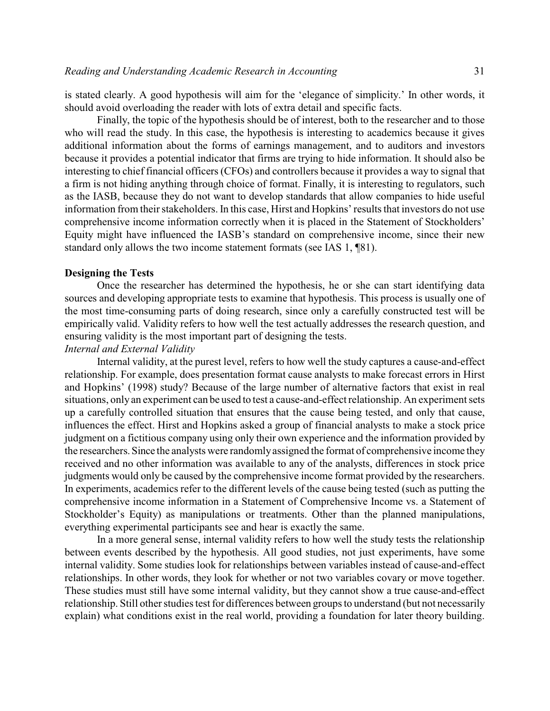is stated clearly. A good hypothesis will aim for the 'elegance of simplicity.' In other words, it should avoid overloading the reader with lots of extra detail and specific facts.

Finally, the topic of the hypothesis should be of interest, both to the researcher and to those who will read the study. In this case, the hypothesis is interesting to academics because it gives additional information about the forms of earnings management, and to auditors and investors because it provides a potential indicator that firms are trying to hide information. It should also be interesting to chief financial officers (CFOs) and controllers because it provides a way to signal that a firm is not hiding anything through choice of format. Finally, it is interesting to regulators, such as the IASB, because they do not want to develop standards that allow companies to hide useful information from their stakeholders. In this case, Hirst and Hopkins' results that investors do not use comprehensive income information correctly when it is placed in the Statement of Stockholders' Equity might have influenced the IASB's standard on comprehensive income, since their new standard only allows the two income statement formats (see IAS 1, ¶81).

## **Designing the Tests**

Once the researcher has determined the hypothesis, he or she can start identifying data sources and developing appropriate tests to examine that hypothesis. This process is usually one of the most time-consuming parts of doing research, since only a carefully constructed test will be empirically valid. Validity refers to how well the test actually addresses the research question, and ensuring validity is the most important part of designing the tests.

## *Internal and External Validity*

Internal validity, at the purest level, refers to how well the study captures a cause-and-effect relationship. For example, does presentation format cause analysts to make forecast errors in Hirst and Hopkins' (1998) study? Because of the large number of alternative factors that exist in real situations, only an experiment can be used to test a cause-and-effect relationship. An experiment sets up a carefully controlled situation that ensures that the cause being tested, and only that cause, influences the effect. Hirst and Hopkins asked a group of financial analysts to make a stock price judgment on a fictitious company using only their own experience and the information provided by the researchers. Since the analysts were randomlyassigned the format of comprehensive income they received and no other information was available to any of the analysts, differences in stock price judgments would only be caused by the comprehensive income format provided by the researchers. In experiments, academics refer to the different levels of the cause being tested (such as putting the comprehensive income information in a Statement of Comprehensive Income vs. a Statement of Stockholder's Equity) as manipulations or treatments. Other than the planned manipulations, everything experimental participants see and hear is exactly the same.

In a more general sense, internal validity refers to how well the study tests the relationship between events described by the hypothesis. All good studies, not just experiments, have some internal validity. Some studies look for relationships between variables instead of cause-and-effect relationships. In other words, they look for whether or not two variables covary or move together. These studies must still have some internal validity, but they cannot show a true cause-and-effect relationship. Still other studies test for differences between groups to understand (but not necessarily explain) what conditions exist in the real world, providing a foundation for later theory building.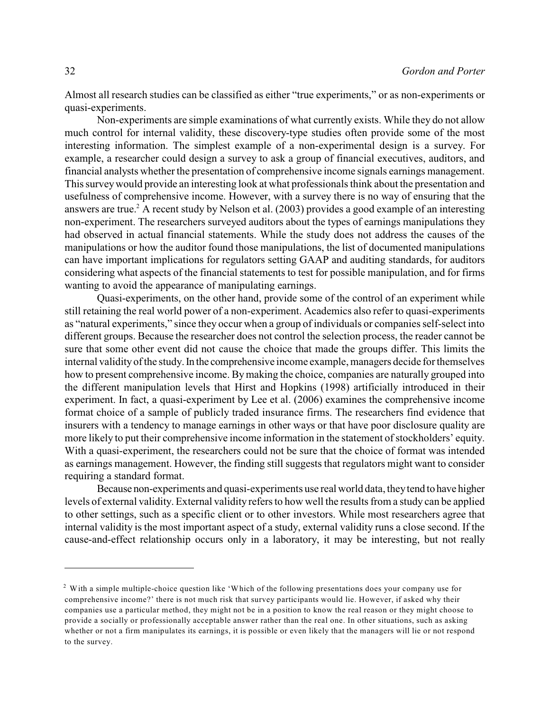Almost all research studies can be classified as either "true experiments," or as non-experiments or quasi-experiments.

Non-experiments are simple examinations of what currently exists. While they do not allow much control for internal validity, these discovery-type studies often provide some of the most interesting information. The simplest example of a non-experimental design is a survey. For example, a researcher could design a survey to ask a group of financial executives, auditors, and financial analysts whether the presentation of comprehensive income signals earnings management. This surveywould provide an interesting look at what professionals think about the presentation and usefulness of comprehensive income. However, with a survey there is no way of ensuring that the answers are true.<sup>2</sup> A recent study by Nelson et al.  $(2003)$  provides a good example of an interesting non-experiment. The researchers surveyed auditors about the types of earnings manipulations they had observed in actual financial statements. While the study does not address the causes of the manipulations or how the auditor found those manipulations, the list of documented manipulations can have important implications for regulators setting GAAP and auditing standards, for auditors considering what aspects of the financial statements to test for possible manipulation, and for firms wanting to avoid the appearance of manipulating earnings.

Quasi-experiments, on the other hand, provide some of the control of an experiment while still retaining the real world power of a non-experiment. Academics also refer to quasi-experiments as "natural experiments," since they occur when a group of individuals or companies self-select into different groups. Because the researcher does not control the selection process, the reader cannot be sure that some other event did not cause the choice that made the groups differ. This limits the internal validityof the study.In the comprehensive income example, managers decide for themselves how to present comprehensive income. Bymaking the choice, companies are naturally grouped into the different manipulation levels that Hirst and Hopkins (1998) artificially introduced in their experiment. In fact, a quasi-experiment by Lee et al. (2006) examines the comprehensive income format choice of a sample of publicly traded insurance firms. The researchers find evidence that insurers with a tendency to manage earnings in other ways or that have poor disclosure quality are more likely to put their comprehensive income information in the statement of stockholders' equity. With a quasi-experiment, the researchers could not be sure that the choice of format was intended as earnings management. However, the finding still suggests that regulators might want to consider requiring a standard format.

Because non-experiments and quasi-experiments use real world data, theytend to have higher levels of external validity. External validity refers to how well the results from a study can be applied to other settings, such as a specific client or to other investors. While most researchers agree that internal validity is the most important aspect of a study, external validity runs a close second. If the cause-and-effect relationship occurs only in a laboratory, it may be interesting, but not really

 $2$  With a simple multiple-choice question like 'Which of the following presentations does your company use for comprehensive income?' there is not much risk that survey participants would lie. However, if asked why their companies use a particular method, they might not be in a position to know the real reason or they might choose to provide a socially or professionally acceptable answer rather than the real one. In other situations, such as asking whether or not a firm manipulates its earnings, it is possible or even likely that the managers will lie or not respond to the survey.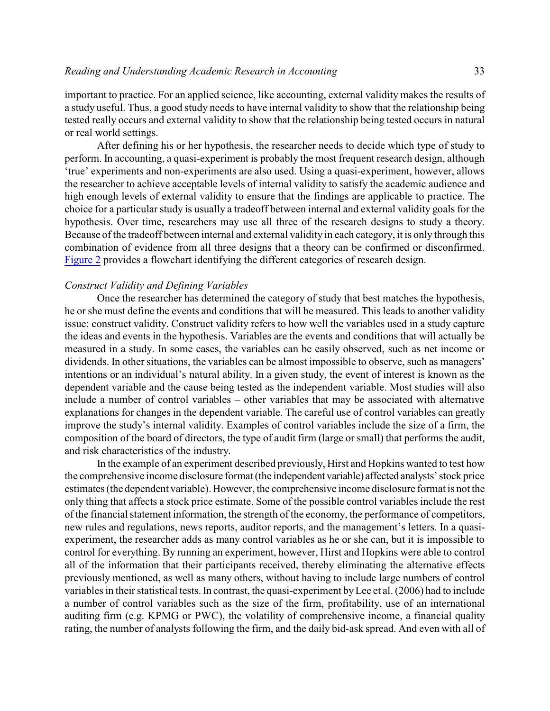important to practice. For an applied science, like accounting, external validity makes the results of a study useful. Thus, a good study needs to have internal validity to show that the relationship being tested really occurs and external validity to show that the relationship being tested occurs in natural or real world settings.

After defining his or her hypothesis, the researcher needs to decide which type of study to perform. In accounting, a quasi-experiment is probably the most frequent research design, although 'true' experiments and non-experiments are also used. Using a quasi-experiment, however, allows the researcher to achieve acceptable levels of internal validity to satisfy the academic audience and high enough levels of external validity to ensure that the findings are applicable to practice. The choice for a particular study is usually a tradeoff between internal and external validity goals for the hypothesis. Over time, researchers may use all three of the research designs to study a theory. Because of the tradeoff between internal and external validity in each category, it is only through this combination of evidence from all three designs that a theory can be confirmed or disconfirmed. [Figure 2](http://web.bryant.edu/~gpae/Vol6/Academic_Research/Figure2.pdf) provides a flowchart identifying the different categories of research design.

#### *Construct Validity and Defining Variables*

Once the researcher has determined the category of study that best matches the hypothesis, he or she must define the events and conditions that will be measured. This leads to another validity issue: construct validity. Construct validity refers to how well the variables used in a study capture the ideas and events in the hypothesis. Variables are the events and conditions that will actually be measured in a study. In some cases, the variables can be easily observed, such as net income or dividends. In other situations, the variables can be almost impossible to observe, such as managers' intentions or an individual's natural ability. In a given study, the event of interest is known as the dependent variable and the cause being tested as the independent variable. Most studies will also include a number of control variables – other variables that may be associated with alternative explanations for changes in the dependent variable. The careful use of control variables can greatly improve the study's internal validity. Examples of control variables include the size of a firm, the composition of the board of directors, the type of audit firm (large or small) that performs the audit, and risk characteristics of the industry.

In the example of an experiment described previously, Hirst and Hopkins wanted to test how the comprehensive income disclosure format (the independent variable) affected analysts'stock price estimates (the dependent variable). However, the comprehensive income disclosure format is not the only thing that affects a stock price estimate. Some of the possible control variables include the rest of the financial statement information, the strength of the economy, the performance of competitors, new rules and regulations, news reports, auditor reports, and the management's letters. In a quasiexperiment, the researcher adds as many control variables as he or she can, but it is impossible to control for everything. By running an experiment, however, Hirst and Hopkins were able to control all of the information that their participants received, thereby eliminating the alternative effects previously mentioned, as well as many others, without having to include large numbers of control variables in their statistical tests. In contrast, the quasi-experiment byLee et al. (2006) had to include a number of control variables such as the size of the firm, profitability, use of an international auditing firm (e.g. KPMG or PWC), the volatility of comprehensive income, a financial quality rating, the number of analysts following the firm, and the daily bid-ask spread. And even with all of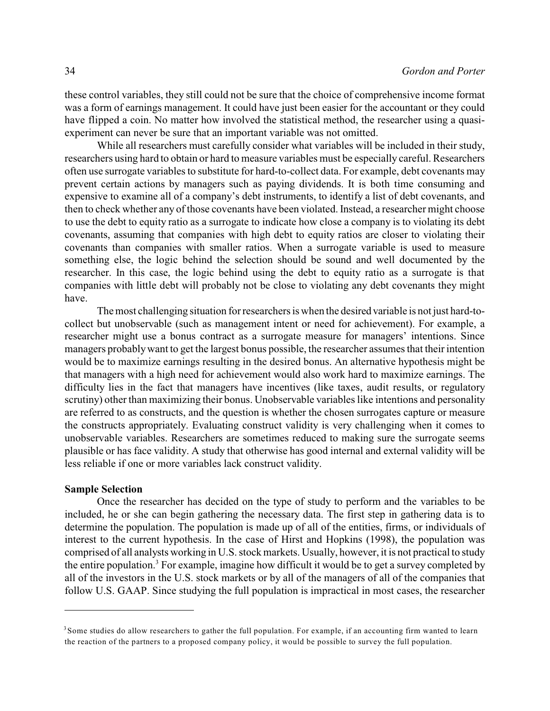these control variables, they still could not be sure that the choice of comprehensive income format was a form of earnings management. It could have just been easier for the accountant or they could have flipped a coin. No matter how involved the statistical method, the researcher using a quasiexperiment can never be sure that an important variable was not omitted.

While all researchers must carefully consider what variables will be included in their study, researchers using hard to obtain or hard to measure variables must be especially careful. Researchers often use surrogate variables to substitute for hard-to-collect data. For example, debt covenants may prevent certain actions by managers such as paying dividends. It is both time consuming and expensive to examine all of a company's debt instruments, to identify a list of debt covenants, and then to check whether any of those covenants have been violated. Instead, a researcher might choose to use the debt to equity ratio as a surrogate to indicate how close a company is to violating its debt covenants, assuming that companies with high debt to equity ratios are closer to violating their covenants than companies with smaller ratios. When a surrogate variable is used to measure something else, the logic behind the selection should be sound and well documented by the researcher. In this case, the logic behind using the debt to equity ratio as a surrogate is that companies with little debt will probably not be close to violating any debt covenants they might have.

The most challenging situation for researchers is when the desired variable is not just hard-tocollect but unobservable (such as management intent or need for achievement). For example, a researcher might use a bonus contract as a surrogate measure for managers' intentions. Since managers probablywant to get the largest bonus possible, the researcher assumes that their intention would be to maximize earnings resulting in the desired bonus. An alternative hypothesis might be that managers with a high need for achievement would also work hard to maximize earnings. The difficulty lies in the fact that managers have incentives (like taxes, audit results, or regulatory scrutiny) other than maximizing their bonus. Unobservable variables like intentions and personality are referred to as constructs, and the question is whether the chosen surrogates capture or measure the constructs appropriately. Evaluating construct validity is very challenging when it comes to unobservable variables. Researchers are sometimes reduced to making sure the surrogate seems plausible or has face validity. A study that otherwise has good internal and external validity will be less reliable if one or more variables lack construct validity.

## **Sample Selection**

Once the researcher has decided on the type of study to perform and the variables to be included, he or she can begin gathering the necessary data. The first step in gathering data is to determine the population. The population is made up of all of the entities, firms, or individuals of interest to the current hypothesis. In the case of Hirst and Hopkins (1998), the population was comprised of all analysts working in U.S. stock markets. Usually, however, it is not practical to study the entire population.<sup>3</sup> For example, imagine how difficult it would be to get a survey completed by all of the investors in the U.S. stock markets or by all of the managers of all of the companies that follow U.S. GAAP. Since studying the full population is impractical in most cases, the researcher

<sup>&</sup>lt;sup>3</sup> Some studies do allow researchers to gather the full population. For example, if an accounting firm wanted to learn the reaction of the partners to a proposed company policy, it would be possible to survey the full population.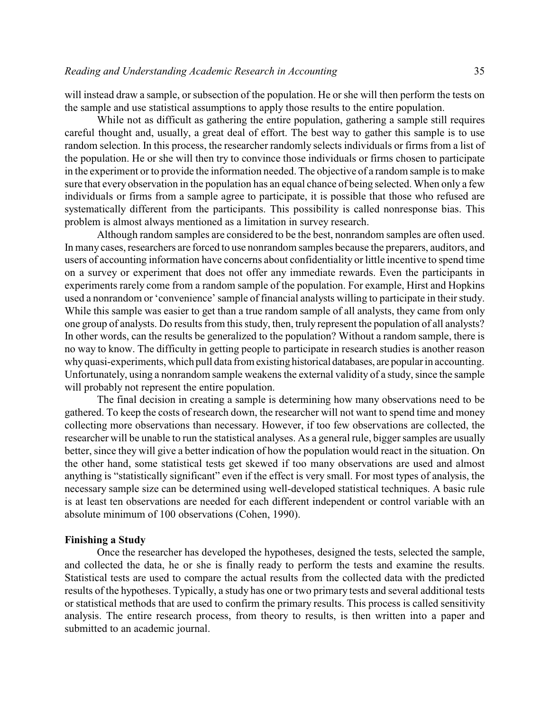will instead draw a sample, or subsection of the population. He or she will then perform the tests on the sample and use statistical assumptions to apply those results to the entire population.

While not as difficult as gathering the entire population, gathering a sample still requires careful thought and, usually, a great deal of effort. The best way to gather this sample is to use random selection. In this process, the researcher randomly selects individuals or firms from a list of the population. He or she will then try to convince those individuals or firms chosen to participate in the experiment or to provide the information needed. The objective of a random sample is to make sure that every observation in the population has an equal chance of being selected. When only a few individuals or firms from a sample agree to participate, it is possible that those who refused are systematically different from the participants. This possibility is called nonresponse bias. This problem is almost always mentioned as a limitation in survey research.

Although random samples are considered to be the best, nonrandom samples are often used. In many cases, researchers are forced to use nonrandom samples because the preparers, auditors, and users of accounting information have concerns about confidentiality or little incentive to spend time on a survey or experiment that does not offer any immediate rewards. Even the participants in experiments rarely come from a random sample of the population. For example, Hirst and Hopkins used a nonrandom or 'convenience' sample of financial analysts willing to participate in their study. While this sample was easier to get than a true random sample of all analysts, they came from only one group of analysts. Do results from this study, then, truly represent the population of all analysts? In other words, can the results be generalized to the population? Without a random sample, there is no way to know. The difficulty in getting people to participate in research studies is another reason whyquasi-experiments, which pull data from existing historical databases, are popular in accounting. Unfortunately, using a nonrandom sample weakens the external validity of a study, since the sample will probably not represent the entire population.

The final decision in creating a sample is determining how many observations need to be gathered. To keep the costs of research down, the researcher will not want to spend time and money collecting more observations than necessary. However, if too few observations are collected, the researcher will be unable to run the statistical analyses. As a general rule, bigger samples are usually better, since they will give a better indication of how the population would react in the situation. On the other hand, some statistical tests get skewed if too many observations are used and almost anything is "statistically significant" even if the effect is very small. For most types of analysis, the necessary sample size can be determined using well-developed statistical techniques. A basic rule is at least ten observations are needed for each different independent or control variable with an absolute minimum of 100 observations (Cohen, 1990).

## **Finishing a Study**

Once the researcher has developed the hypotheses, designed the tests, selected the sample, and collected the data, he or she is finally ready to perform the tests and examine the results. Statistical tests are used to compare the actual results from the collected data with the predicted results of the hypotheses. Typically, a study has one or two primary tests and several additional tests or statistical methods that are used to confirm the primary results. This process is called sensitivity analysis. The entire research process, from theory to results, is then written into a paper and submitted to an academic journal.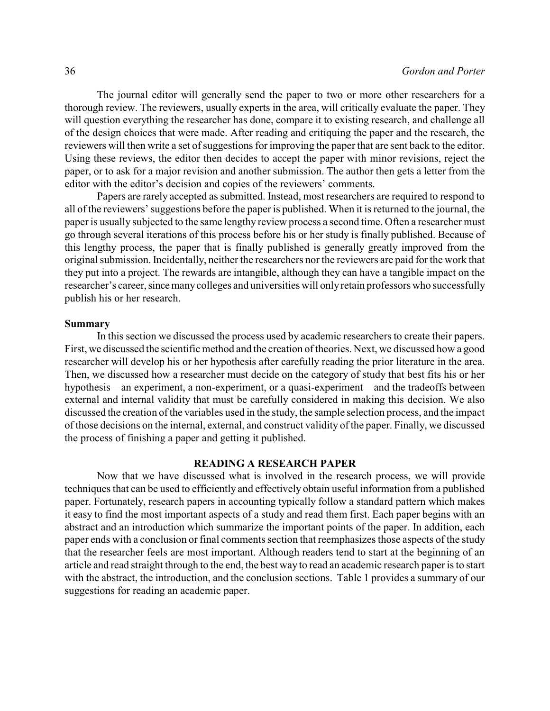The journal editor will generally send the paper to two or more other researchers for a thorough review. The reviewers, usually experts in the area, will critically evaluate the paper. They will question everything the researcher has done, compare it to existing research, and challenge all of the design choices that were made. After reading and critiquing the paper and the research, the reviewers will then write a set of suggestions for improving the paper that are sent back to the editor. Using these reviews, the editor then decides to accept the paper with minor revisions, reject the paper, or to ask for a major revision and another submission. The author then gets a letter from the editor with the editor's decision and copies of the reviewers' comments.

Papers are rarely accepted as submitted. Instead, most researchers are required to respond to all of the reviewers' suggestions before the paper is published. When it is returned to the journal, the paper is usually subjected to the same lengthy review process a second time. Often a researcher must go through several iterations of this process before his or her study is finally published. Because of this lengthy process, the paper that is finally published is generally greatly improved from the original submission. Incidentally, neither the researchers nor the reviewers are paid for the work that they put into a project. The rewards are intangible, although they can have a tangible impact on the researcher's career, since many colleges and universities will only retain professors who successfully publish his or her research.

#### **Summary**

In this section we discussed the process used by academic researchers to create their papers. First, we discussed the scientific method and the creation of theories. Next, we discussed how a good researcher will develop his or her hypothesis after carefully reading the prior literature in the area. Then, we discussed how a researcher must decide on the category of study that best fits his or her hypothesis—an experiment, a non-experiment, or a quasi-experiment—and the tradeoffs between external and internal validity that must be carefully considered in making this decision. We also discussed the creation of the variables used in the study, the sample selection process, and the impact of those decisions on the internal, external, and construct validity of the paper. Finally, we discussed the process of finishing a paper and getting it published.

## **READING A RESEARCH PAPER**

Now that we have discussed what is involved in the research process, we will provide techniques that can be used to efficiently and effectively obtain useful information from a published paper. Fortunately, research papers in accounting typically follow a standard pattern which makes it easy to find the most important aspects of a study and read them first. Each paper begins with an abstract and an introduction which summarize the important points of the paper. In addition, each paper ends with a conclusion or final comments section that reemphasizes those aspects of the study that the researcher feels are most important. Although readers tend to start at the beginning of an article and read straight through to the end, the best way to read an academic research paperis to start with the abstract, the introduction, and the conclusion sections. Table 1 provides a summary of our suggestions for reading an academic paper.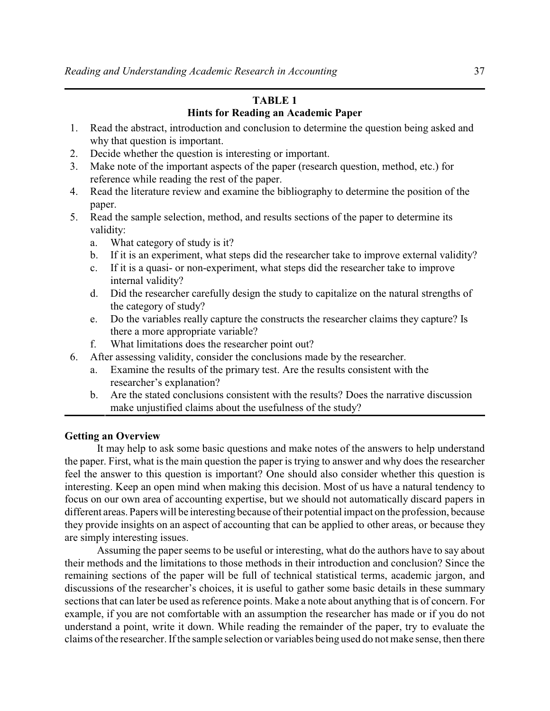# **TABLE 1 Hints for Reading an Academic Paper**

- 1. Read the abstract, introduction and conclusion to determine the question being asked and why that question is important.
- 2. Decide whether the question is interesting or important.
- 3. Make note of the important aspects of the paper (research question, method, etc.) for reference while reading the rest of the paper.
- 4. Read the literature review and examine the bibliography to determine the position of the paper.
- 5. Read the sample selection, method, and results sections of the paper to determine its validity:
	- a. What category of study is it?
	- b. If it is an experiment, what steps did the researcher take to improve external validity?
	- c. If it is a quasi- or non-experiment, what steps did the researcher take to improve internal validity?
	- d. Did the researcher carefully design the study to capitalize on the natural strengths of the category of study?
	- e. Do the variables really capture the constructs the researcher claims they capture? Is there a more appropriate variable?
	- f. What limitations does the researcher point out?
- 6. After assessing validity, consider the conclusions made by the researcher.
	- a. Examine the results of the primary test. Are the results consistent with the researcher's explanation?
	- b. Are the stated conclusions consistent with the results? Does the narrative discussion make unjustified claims about the usefulness of the study?

# **Getting an Overview**

It may help to ask some basic questions and make notes of the answers to help understand the paper. First, what is the main question the paper is trying to answer and why does the researcher feel the answer to this question is important? One should also consider whether this question is interesting. Keep an open mind when making this decision. Most of us have a natural tendency to focus on our own area of accounting expertise, but we should not automatically discard papers in different areas. Papers will be interesting because of their potential impact on the profession, because they provide insights on an aspect of accounting that can be applied to other areas, or because they are simply interesting issues.

Assuming the paper seems to be useful or interesting, what do the authors have to say about their methods and the limitations to those methods in their introduction and conclusion? Since the remaining sections of the paper will be full of technical statistical terms, academic jargon, and discussions of the researcher's choices, it is useful to gather some basic details in these summary sections that can later be used as reference points. Make a note about anything that is of concern. For example, if you are not comfortable with an assumption the researcher has made or if you do not understand a point, write it down. While reading the remainder of the paper, try to evaluate the claims of the researcher. If the sample selection or variables being used do not make sense, then there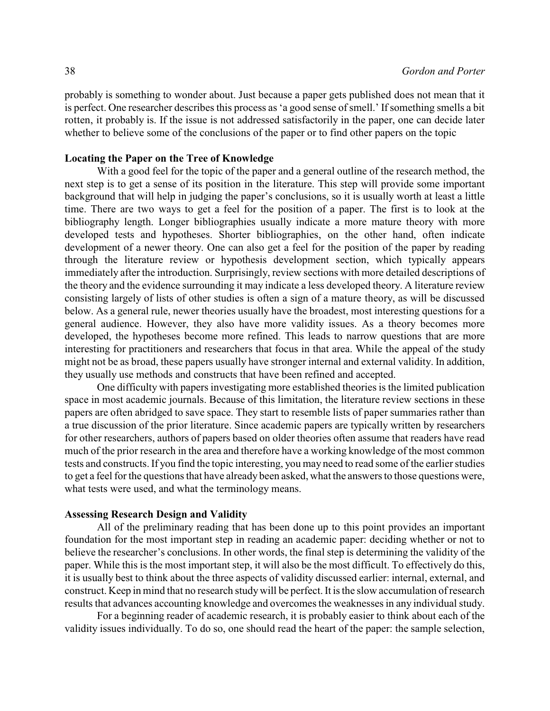probably is something to wonder about. Just because a paper gets published does not mean that it is perfect. One researcher describes this process as 'a good sense of smell.' If something smells a bit rotten, it probably is. If the issue is not addressed satisfactorily in the paper, one can decide later whether to believe some of the conclusions of the paper or to find other papers on the topic

# **Locating the Paper on the Tree of Knowledge**

With a good feel for the topic of the paper and a general outline of the research method, the next step is to get a sense of its position in the literature. This step will provide some important background that will help in judging the paper's conclusions, so it is usually worth at least a little time. There are two ways to get a feel for the position of a paper. The first is to look at the bibliography length. Longer bibliographies usually indicate a more mature theory with more developed tests and hypotheses. Shorter bibliographies, on the other hand, often indicate development of a newer theory. One can also get a feel for the position of the paper by reading through the literature review or hypothesis development section, which typically appears immediately after the introduction. Surprisingly, review sections with more detailed descriptions of the theory and the evidence surrounding it may indicate a less developed theory. A literature review consisting largely of lists of other studies is often a sign of a mature theory, as will be discussed below. As a general rule, newer theories usually have the broadest, most interesting questions for a general audience. However, they also have more validity issues. As a theory becomes more developed, the hypotheses become more refined. This leads to narrow questions that are more interesting for practitioners and researchers that focus in that area. While the appeal of the study might not be as broad, these papers usually have stronger internal and external validity. In addition, they usually use methods and constructs that have been refined and accepted.

One difficulty with papers investigating more established theories is the limited publication space in most academic journals. Because of this limitation, the literature review sections in these papers are often abridged to save space. They start to resemble lists of paper summaries rather than a true discussion of the prior literature. Since academic papers are typically written by researchers for other researchers, authors of papers based on older theories often assume that readers have read much of the prior research in the area and therefore have a working knowledge of the most common tests and constructs. If you find the topic interesting, you may need to read some of the earlier studies to get a feel for the questions that have already been asked, what the answers to those questions were, what tests were used, and what the terminology means.

## **Assessing Research Design and Validity**

All of the preliminary reading that has been done up to this point provides an important foundation for the most important step in reading an academic paper: deciding whether or not to believe the researcher's conclusions. In other words, the final step is determining the validity of the paper. While this is the most important step, it will also be the most difficult. To effectively do this, it is usually best to think about the three aspects of validity discussed earlier: internal, external, and construct. Keep in mind that no research studywill be perfect. It is the slow accumulation of research results that advances accounting knowledge and overcomes the weaknesses in any individual study.

For a beginning reader of academic research, it is probably easier to think about each of the validity issues individually. To do so, one should read the heart of the paper: the sample selection,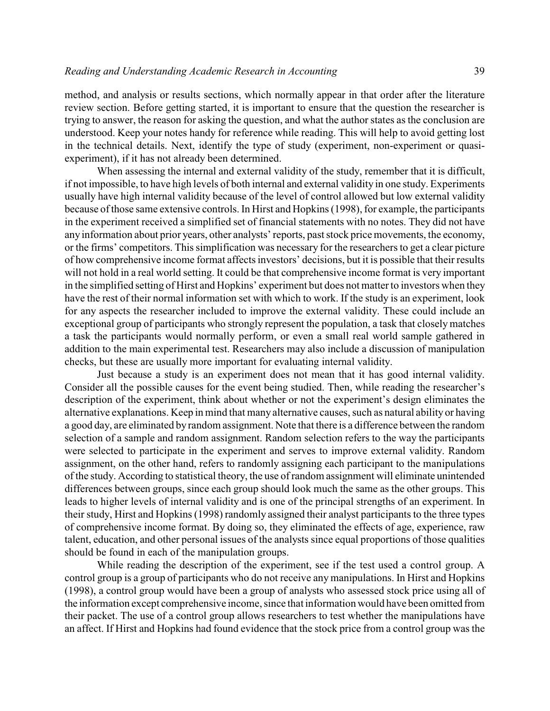method, and analysis or results sections, which normally appear in that order after the literature review section. Before getting started, it is important to ensure that the question the researcher is trying to answer, the reason for asking the question, and what the author states as the conclusion are understood. Keep your notes handy for reference while reading. This will help to avoid getting lost in the technical details. Next, identify the type of study (experiment, non-experiment or quasiexperiment), if it has not already been determined.

When assessing the internal and external validity of the study, remember that it is difficult, if not impossible, to have high levels of both internal and external validity in one study. Experiments usually have high internal validity because of the level of control allowed but low external validity because of those same extensive controls. In Hirst and Hopkins (1998), for example, the participants in the experiment received a simplified set of financial statements with no notes. They did not have any information about prior years, other analysts' reports, past stock price movements, the economy, or the firms' competitors. This simplification was necessary for the researchers to get a clear picture of how comprehensive income format affects investors' decisions, but it is possible that their results will not hold in a real world setting. It could be that comprehensive income format is very important in the simplified setting of Hirst and Hopkins' experiment but does not matter to investors when they have the rest of their normal information set with which to work. If the study is an experiment, look for any aspects the researcher included to improve the external validity. These could include an exceptional group of participants who strongly represent the population, a task that closely matches a task the participants would normally perform, or even a small real world sample gathered in addition to the main experimental test. Researchers may also include a discussion of manipulation checks, but these are usually more important for evaluating internal validity.

Just because a study is an experiment does not mean that it has good internal validity. Consider all the possible causes for the event being studied. Then, while reading the researcher's description of the experiment, think about whether or not the experiment's design eliminates the alternative explanations. Keep in mind that many alternative causes, such as natural ability or having a good day, are eliminated byrandom assignment. Note that there is a difference between the random selection of a sample and random assignment. Random selection refers to the way the participants were selected to participate in the experiment and serves to improve external validity. Random assignment, on the other hand, refers to randomly assigning each participant to the manipulations of the study. According to statistical theory, the use of random assignment will eliminate unintended differences between groups, since each group should look much the same as the other groups. This leads to higher levels of internal validity and is one of the principal strengths of an experiment. In their study, Hirst and Hopkins (1998) randomly assigned their analyst participants to the three types of comprehensive income format. By doing so, they eliminated the effects of age, experience, raw talent, education, and other personal issues of the analysts since equal proportions of those qualities should be found in each of the manipulation groups.

While reading the description of the experiment, see if the test used a control group. A control group is a group of participants who do not receive any manipulations. In Hirst and Hopkins (1998), a control group would have been a group of analysts who assessed stock price using all of the information except comprehensive income, since that information would have been omitted from their packet. The use of a control group allows researchers to test whether the manipulations have an affect. If Hirst and Hopkins had found evidence that the stock price from a control group was the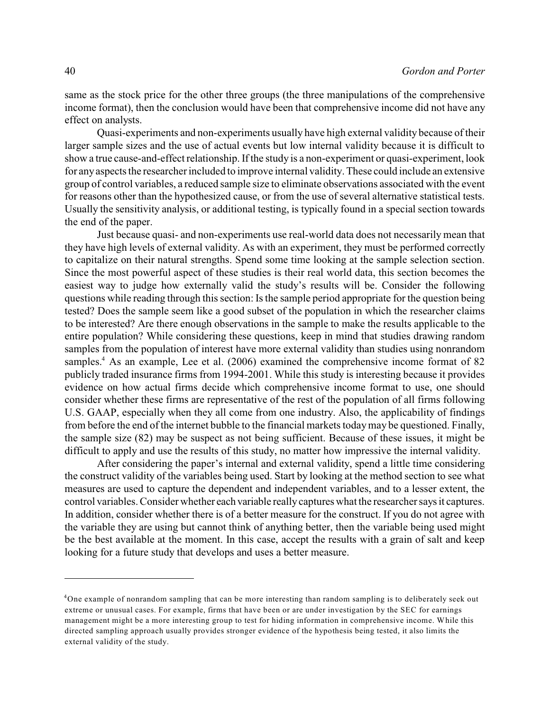same as the stock price for the other three groups (the three manipulations of the comprehensive income format), then the conclusion would have been that comprehensive income did not have any effect on analysts.

Quasi-experiments and non-experiments usually have high external validity because of their larger sample sizes and the use of actual events but low internal validity because it is difficult to show a true cause-and-effect relationship. If the study is a non-experiment or quasi-experiment, look for anyaspects the researcher included to improve internal validity. These could include an extensive group of control variables, a reduced sample size to eliminate observations associated with the event for reasons other than the hypothesized cause, or from the use of several alternative statistical tests. Usually the sensitivity analysis, or additional testing, is typically found in a special section towards the end of the paper.

Just because quasi- and non-experiments use real-world data does not necessarily mean that they have high levels of external validity. As with an experiment, they must be performed correctly to capitalize on their natural strengths. Spend some time looking at the sample selection section. Since the most powerful aspect of these studies is their real world data, this section becomes the easiest way to judge how externally valid the study's results will be. Consider the following questions while reading through this section: Is the sample period appropriate for the question being tested? Does the sample seem like a good subset of the population in which the researcher claims to be interested? Are there enough observations in the sample to make the results applicable to the entire population? While considering these questions, keep in mind that studies drawing random samples from the population of interest have more external validity than studies using nonrandom samples.<sup>4</sup> As an example, Lee et al.  $(2006)$  examined the comprehensive income format of 82 publicly traded insurance firms from 1994-2001. While this study is interesting because it provides evidence on how actual firms decide which comprehensive income format to use, one should consider whether these firms are representative of the rest of the population of all firms following U.S. GAAP, especially when they all come from one industry. Also, the applicability of findings from before the end of the internet bubble to the financial markets todaymay be questioned. Finally, the sample size (82) may be suspect as not being sufficient. Because of these issues, it might be difficult to apply and use the results of this study, no matter how impressive the internal validity.

After considering the paper's internal and external validity, spend a little time considering the construct validity of the variables being used. Start by looking at the method section to see what measures are used to capture the dependent and independent variables, and to a lesser extent, the control variables. Consider whether each variable reallycaptures what the researcher says it captures. In addition, consider whether there is of a better measure for the construct. If you do not agree with the variable they are using but cannot think of anything better, then the variable being used might be the best available at the moment. In this case, accept the results with a grain of salt and keep looking for a future study that develops and uses a better measure.

 $4$ One example of nonrandom sampling that can be more interesting than random sampling is to deliberately seek out extreme or unusual cases. For example, firms that have been or are under investigation by the SEC for earnings management might be a more interesting group to test for hiding information in comprehensive income. While this directed sampling approach usually provides stronger evidence of the hypothesis being tested, it also limits the external validity of the study.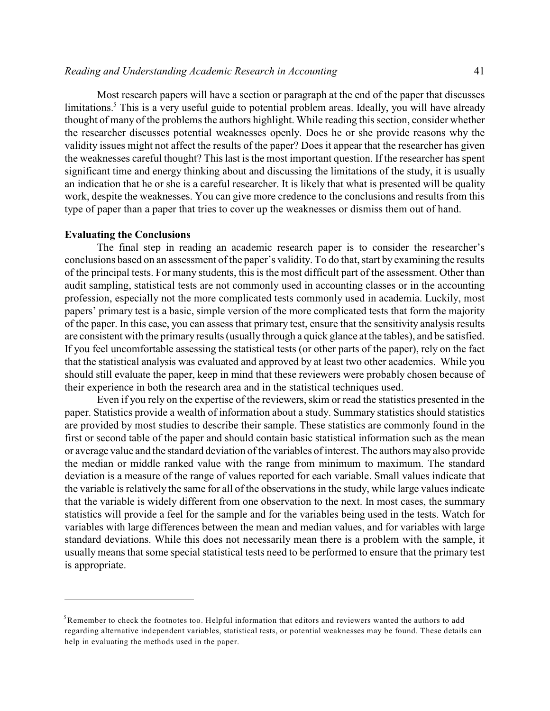Most research papers will have a section or paragraph at the end of the paper that discusses limitations.<sup>5</sup> This is a very useful guide to potential problem areas. Ideally, you will have already thought of many of the problems the authors highlight. While reading this section, consider whether the researcher discusses potential weaknesses openly. Does he or she provide reasons why the validity issues might not affect the results of the paper? Does it appear that the researcher has given the weaknesses careful thought? This last is the most important question. If the researcher has spent significant time and energy thinking about and discussing the limitations of the study, it is usually an indication that he or she is a careful researcher. It is likely that what is presented will be quality work, despite the weaknesses. You can give more credence to the conclusions and results from this type of paper than a paper that tries to cover up the weaknesses or dismiss them out of hand.

## **Evaluating the Conclusions**

The final step in reading an academic research paper is to consider the researcher's conclusions based on an assessment of the paper's validity. To do that, start by examining the results of the principal tests. For many students, this is the most difficult part of the assessment. Other than audit sampling, statistical tests are not commonly used in accounting classes or in the accounting profession, especially not the more complicated tests commonly used in academia. Luckily, most papers' primary test is a basic, simple version of the more complicated tests that form the majority of the paper. In this case, you can assess that primary test, ensure that the sensitivity analysis results are consistent with the primary results (usually through a quick glance at the tables), and be satisfied. If you feel uncomfortable assessing the statistical tests (or other parts of the paper), rely on the fact that the statistical analysis was evaluated and approved by at least two other academics. While you should still evaluate the paper, keep in mind that these reviewers were probably chosen because of their experience in both the research area and in the statistical techniques used.

Even if you rely on the expertise of the reviewers, skim or read the statistics presented in the paper. Statistics provide a wealth of information about a study. Summary statistics should statistics are provided by most studies to describe their sample. These statistics are commonly found in the first or second table of the paper and should contain basic statistical information such as the mean or average value and the standard deviation of the variables of interest. The authors may also provide the median or middle ranked value with the range from minimum to maximum. The standard deviation is a measure of the range of values reported for each variable. Small values indicate that the variable is relatively the same for all of the observations in the study, while large values indicate that the variable is widely different from one observation to the next. In most cases, the summary statistics will provide a feel for the sample and for the variables being used in the tests. Watch for variables with large differences between the mean and median values, and for variables with large standard deviations. While this does not necessarily mean there is a problem with the sample, it usually means that some special statistical tests need to be performed to ensure that the primary test is appropriate.

 $5$ Remember to check the footnotes too. Helpful information that editors and reviewers wanted the authors to add regarding alternative independent variables, statistical tests, or potential weaknesses may be found. These details can help in evaluating the methods used in the paper.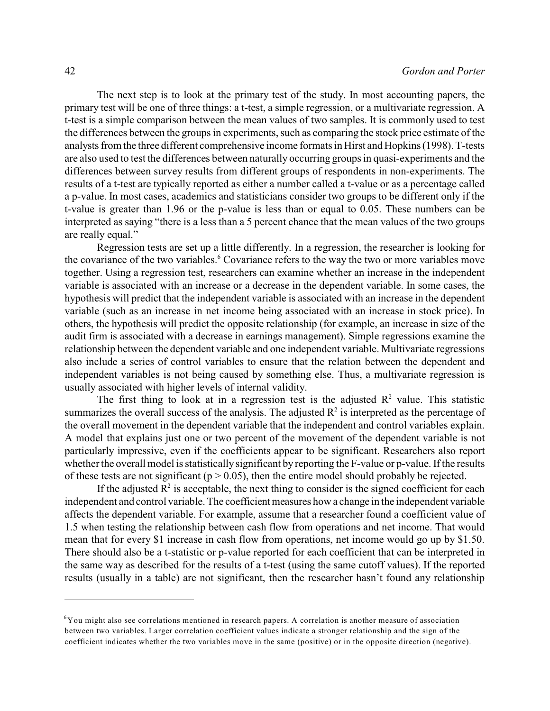The next step is to look at the primary test of the study. In most accounting papers, the primary test will be one of three things: a t-test, a simple regression, or a multivariate regression. A t-test is a simple comparison between the mean values of two samples. It is commonly used to test the differences between the groups in experiments, such as comparing the stock price estimate of the analysts from the three different comprehensive income formats in Hirst and Hopkins (1998). T-tests are also used to test the differences between naturally occurring groups in quasi-experiments and the differences between survey results from different groups of respondents in non-experiments. The results of a t-test are typically reported as either a number called a t-value or as a percentage called a p-value. In most cases, academics and statisticians consider two groups to be different only if the t-value is greater than 1.96 or the p-value is less than or equal to 0.05. These numbers can be interpreted as saying "there is a less than a 5 percent chance that the mean values of the two groups are really equal."

Regression tests are set up a little differently. In a regression, the researcher is looking for the covariance of the two variables.<sup>6</sup> Covariance refers to the way the two or more variables move together. Using a regression test, researchers can examine whether an increase in the independent variable is associated with an increase or a decrease in the dependent variable. In some cases, the hypothesis will predict that the independent variable is associated with an increase in the dependent variable (such as an increase in net income being associated with an increase in stock price). In others, the hypothesis will predict the opposite relationship (for example, an increase in size of the audit firm is associated with a decrease in earnings management). Simple regressions examine the relationship between the dependent variable and one independent variable. Multivariate regressions also include a series of control variables to ensure that the relation between the dependent and independent variables is not being caused by something else. Thus, a multivariate regression is usually associated with higher levels of internal validity.

The first thing to look at in a regression test is the adjusted  $R<sup>2</sup>$  value. This statistic summarizes the overall success of the analysis. The adjusted  $R<sup>2</sup>$  is interpreted as the percentage of the overall movement in the dependent variable that the independent and control variables explain. A model that explains just one or two percent of the movement of the dependent variable is not particularly impressive, even if the coefficients appear to be significant. Researchers also report whether the overall model is statistically significant by reporting the F-value or p-value. If the results of these tests are not significant ( $p > 0.05$ ), then the entire model should probably be rejected.

If the adjusted  $\mathbb{R}^2$  is acceptable, the next thing to consider is the signed coefficient for each independent and control variable. The coefficient measures how a change in the independent variable affects the dependent variable. For example, assume that a researcher found a coefficient value of 1.5 when testing the relationship between cash flow from operations and net income. That would mean that for every \$1 increase in cash flow from operations, net income would go up by \$1.50. There should also be a t-statistic or p-value reported for each coefficient that can be interpreted in the same way as described for the results of a t-test (using the same cutoff values). If the reported results (usually in a table) are not significant, then the researcher hasn't found any relationship

 ${}^{6}$ You might also see correlations mentioned in research papers. A correlation is another measure of association between two variables. Larger correlation coefficient values indicate a stronger relationship and the sign of the coefficient indicates whether the two variables move in the same (positive) or in the opposite direction (negative).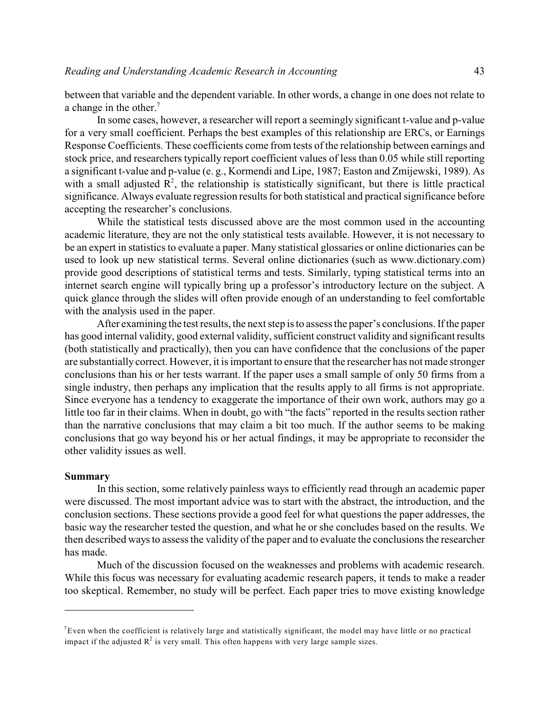between that variable and the dependent variable. In other words, a change in one does not relate to a change in the other. 7

In some cases, however, a researcher will report a seemingly significant t-value and p-value for a very small coefficient. Perhaps the best examples of this relationship are ERCs, or Earnings Response Coefficients. These coefficients come from tests of the relationship between earnings and stock price, and researchers typically report coefficient values of less than 0.05 while still reporting a significant t-value and p-value (e. g., Kormendi and Lipe, 1987; Easton and Zmijewski, 1989). As with a small adjusted  $\mathbb{R}^2$ , the relationship is statistically significant, but there is little practical significance. Always evaluate regression results for both statistical and practical significance before accepting the researcher's conclusions.

While the statistical tests discussed above are the most common used in the accounting academic literature, they are not the only statistical tests available. However, it is not necessary to be an expert in statistics to evaluate a paper. Many statistical glossaries or online dictionaries can be used to look up new statistical terms. Several online dictionaries (such as www.dictionary.com) provide good descriptions of statistical terms and tests. Similarly, typing statistical terms into an internet search engine will typically bring up a professor's introductory lecture on the subject. A quick glance through the slides will often provide enough of an understanding to feel comfortable with the analysis used in the paper.

After examining the test results, the next step is to assess the paper's conclusions. If the paper has good internal validity, good external validity, sufficient construct validity and significant results (both statistically and practically), then you can have confidence that the conclusions of the paper are substantially correct. However, it is important to ensure that the researcher has not made stronger conclusions than his or her tests warrant. If the paper uses a small sample of only 50 firms from a single industry, then perhaps any implication that the results apply to all firms is not appropriate. Since everyone has a tendency to exaggerate the importance of their own work, authors may go a little too far in their claims. When in doubt, go with "the facts" reported in the results section rather than the narrative conclusions that may claim a bit too much. If the author seems to be making conclusions that go way beyond his or her actual findings, it may be appropriate to reconsider the other validity issues as well.

#### **Summary**

In this section, some relatively painless ways to efficiently read through an academic paper were discussed. The most important advice was to start with the abstract, the introduction, and the conclusion sections. These sections provide a good feel for what questions the paper addresses, the basic way the researcher tested the question, and what he or she concludes based on the results. We then described ways to assess the validity of the paper and to evaluate the conclusions the researcher has made.

Much of the discussion focused on the weaknesses and problems with academic research. While this focus was necessary for evaluating academic research papers, it tends to make a reader too skeptical. Remember, no study will be perfect. Each paper tries to move existing knowledge

 $^7$ Even when the coefficient is relatively large and statistically significant, the model may have little or no practical impact if the adjusted  $R^2$  is very small. This often happens with very large sample sizes.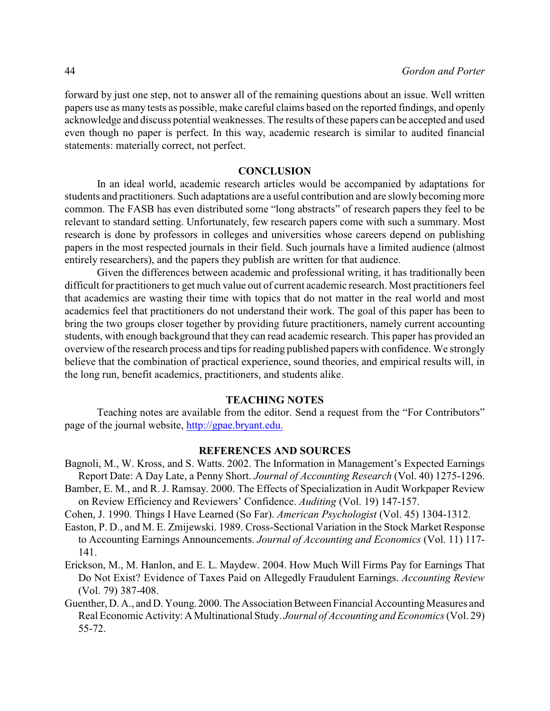forward by just one step, not to answer all of the remaining questions about an issue. Well written papers use as many tests as possible, make careful claims based on the reported findings, and openly acknowledge and discuss potential weaknesses. The results of these papers can be accepted and used even though no paper is perfect. In this way, academic research is similar to audited financial statements: materially correct, not perfect.

## **CONCLUSION**

In an ideal world, academic research articles would be accompanied by adaptations for students and practitioners. Such adaptations are a useful contribution and are slowly becoming more common. The FASB has even distributed some "long abstracts" of research papers they feel to be relevant to standard setting. Unfortunately, few research papers come with such a summary. Most research is done by professors in colleges and universities whose careers depend on publishing papers in the most respected journals in their field. Such journals have a limited audience (almost entirely researchers), and the papers they publish are written for that audience.

Given the differences between academic and professional writing, it has traditionally been difficult for practitioners to get much value out of current academic research. Most practitioners feel that academics are wasting their time with topics that do not matter in the real world and most academics feel that practitioners do not understand their work. The goal of this paper has been to bring the two groups closer together by providing future practitioners, namely current accounting students, with enough background that they can read academic research. This paper has provided an overview of the research process and tips for reading published papers with confidence. We strongly believe that the combination of practical experience, sound theories, and empirical results will, in the long run, benefit academics, practitioners, and students alike.

# **TEACHING NOTES**

Teaching notes are available from the editor. Send a request from the "For Contributors" page of the journal website,<http://gpae.bryant.edu.>

# **REFERENCES AND SOURCES**

- Bagnoli, M., W. Kross, and S. Watts. 2002. The Information in Management's Expected Earnings Report Date: A Day Late, a Penny Short. *Journal of Accounting Research* (Vol. 40) 1275-1296.
- Bamber, E. M., and R. J. Ramsay. 2000. The Effects of Specialization in Audit Workpaper Review on Review Efficiency and Reviewers' Confidence. *Auditing* (Vol. 19) 147-157.
- Cohen, J. 1990. Things I Have Learned (So Far). *American Psychologist* (Vol. 45) 1304-1312.
- Easton, P. D., and M. E. Zmijewski. 1989. Cross-Sectional Variation in the Stock Market Response to Accounting Earnings Announcements. *Journal of Accounting and Economics* (Vol. 11) 117- 141.
- Erickson, M., M. Hanlon, and E. L. Maydew. 2004. How Much Will Firms Pay for Earnings That Do Not Exist? Evidence of Taxes Paid on Allegedly Fraudulent Earnings. *Accounting Review* (Vol. 79) 387-408.
- Guenther, D. A., and D. Young. 2000.The Association Between Financial Accounting Measures and Real Economic Activity: A Multinational Study. *Journal of Accounting and Economics*(Vol. 29) 55-72.